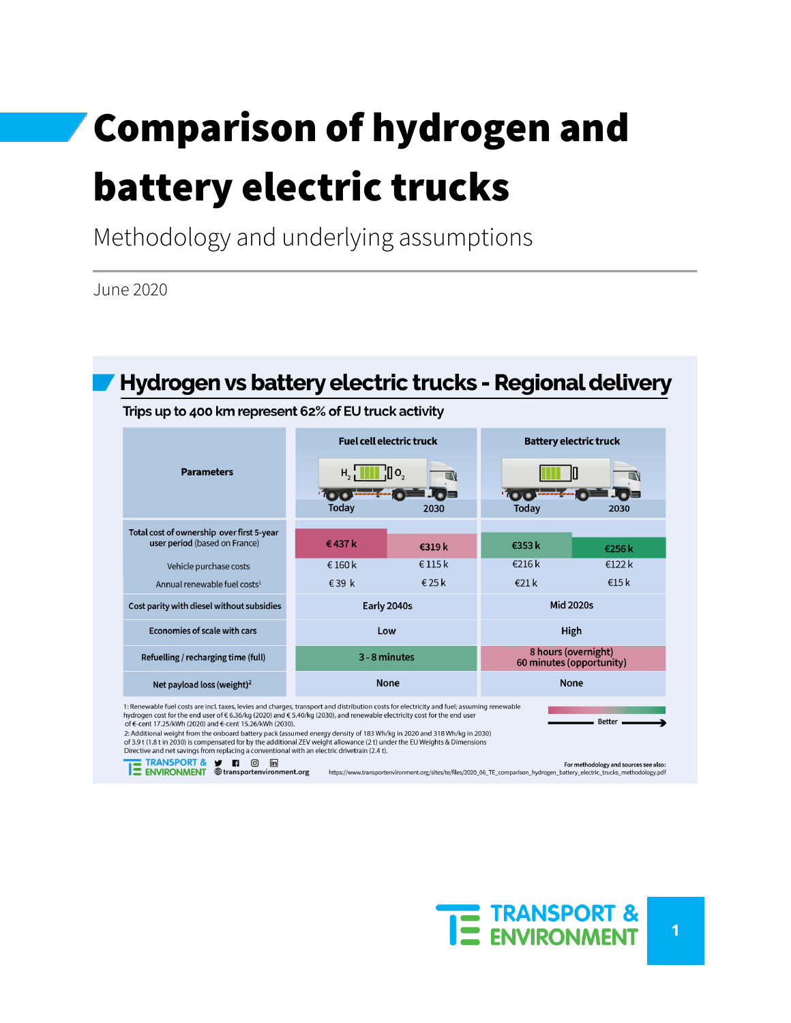# Comparison of hydrogen and battery electric trucks

Methodology and underlying assumptions

June 2020



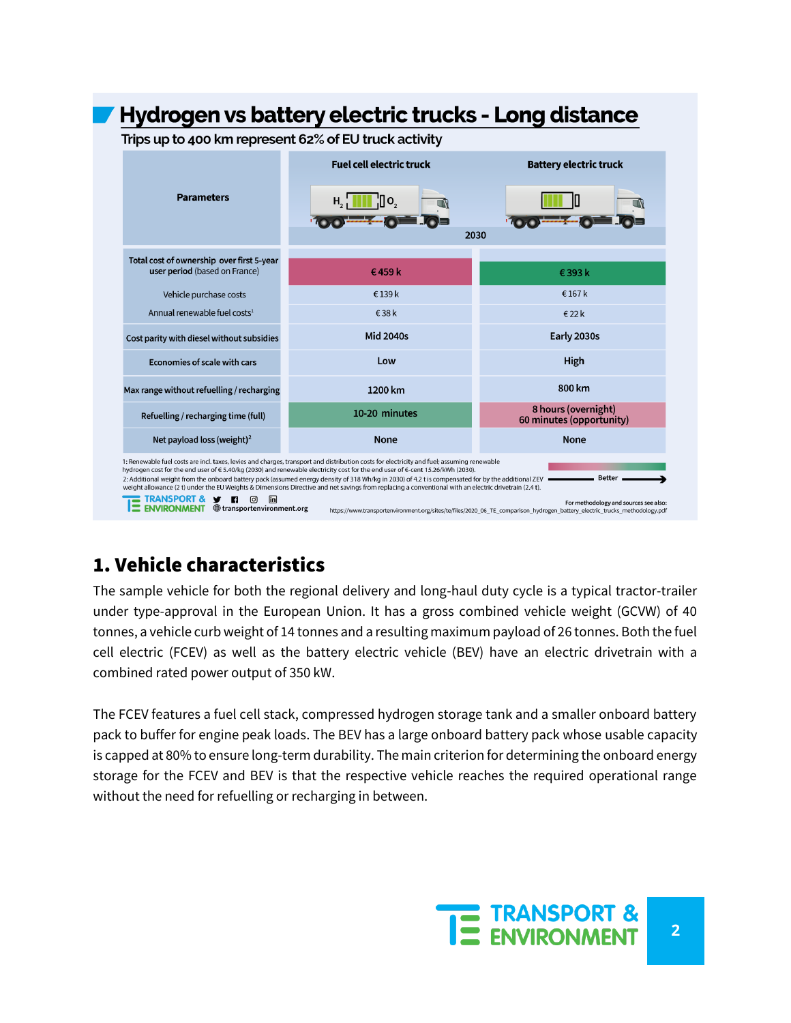

# 1. Vehicle characteristics

The sample vehicle for both the regional delivery and long-haul duty cycle is a typical tractor-trailer under type-approval in the European Union. It has a gross combined vehicle weight (GCVW) of 40 tonnes, a vehicle curb weight of 14 tonnes and a resulting maximum payload of 26 tonnes. Both the fuel cell electric (FCEV) as well as the battery electric vehicle (BEV) have an electric drivetrain with a combined rated power output of 350 kW.

The FCEV features a fuel cell stack, compressed hydrogen storage tank and a smaller onboard battery pack to buffer for engine peak loads. The BEV has a large onboard battery pack whose usable capacity is capped at 80% to ensure long-term durability. The main criterion for determining the onboard energy storage for the FCEV and BEV is that the respective vehicle reaches the required operational range without the need for refuelling or recharging in between.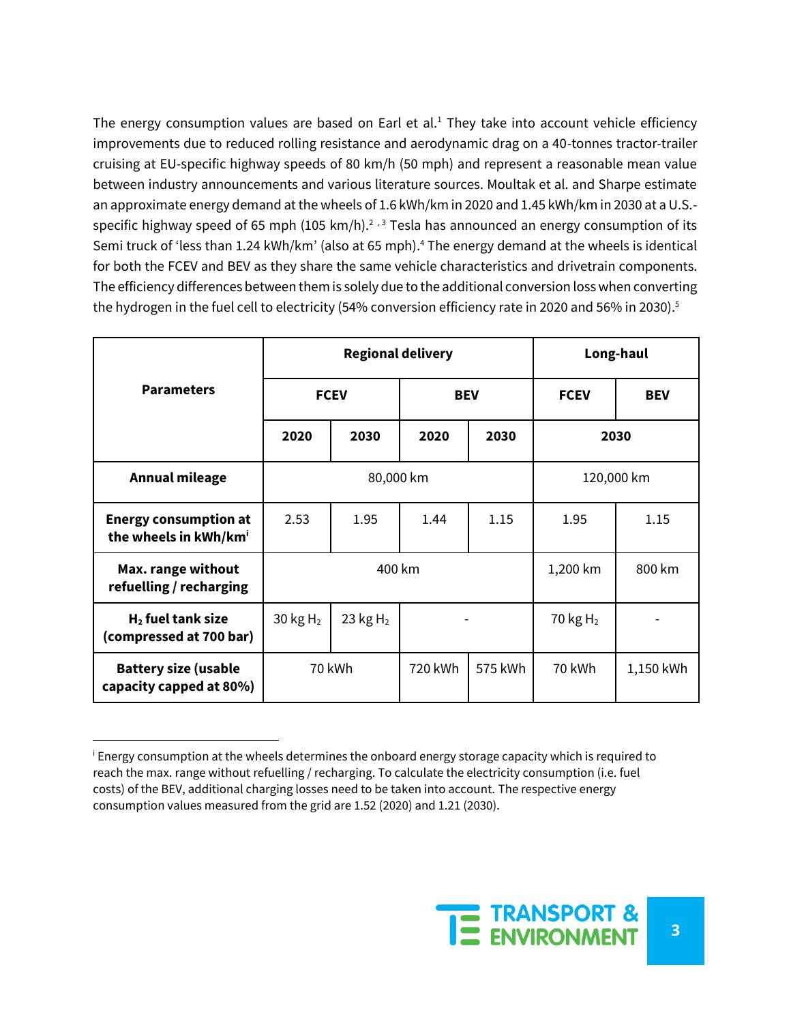The energy consumption values are based on Earl et al.<sup>1</sup> They take into account vehicle efficiency improvements due to reduced rolling resistance and aerodynamic drag on a 40-tonnes tractor-trailer cruising at EU-specific highway speeds of 80 km/h (50 mph) and represent a reasonable mean value between industry announcements and various literature sources. Moultak et al. and Sharpe estimate an approximate energy demand at the wheels of 1.6 kWh/km in 2020 and 1.45 kWh/km in 2030 at a U.S. specific highway speed of 65 mph (105 km/h).<sup>2</sup> ,<sup>3</sup> Tesla has announced an energy consumption of its Semi truck of 'less than 1.24 kWh/km' (also at 65 mph). <sup>4</sup> The energy demand at the wheels is identical for both the FCEV and BEV as they share the same vehicle characteristics and drivetrain components. The efficiency differences between them is solely due to the additional conversion loss when converting the hydrogen in the fuel cell to electricity (54% conversion efficiency rate in 2020 and 56% in 2030).<sup>5</sup>

|                                                                   | <b>Regional delivery</b>     |             |            |            | Long-haul   |            |
|-------------------------------------------------------------------|------------------------------|-------------|------------|------------|-------------|------------|
| <b>Parameters</b>                                                 |                              | <b>FCEV</b> | <b>BEV</b> |            | <b>FCEV</b> | <b>BEV</b> |
|                                                                   | 2020                         | 2030        | 2020       | 2030       |             | 2030       |
| <b>Annual mileage</b>                                             | 80,000 km                    |             |            | 120,000 km |             |            |
| <b>Energy consumption at</b><br>the wheels in kWh/km <sup>i</sup> | 2.53                         | 1.95        | 1.44       | 1.15       | 1.95        | 1.15       |
| Max. range without<br>refuelling / recharging                     | 400 km                       |             |            | 1,200 km   | 800 km      |            |
| $H2$ fuel tank size<br>(compressed at 700 bar)                    | 30 kg $H_2$                  | 23 $kgH2$   |            |            | 70 kg $H_2$ |            |
| <b>Battery size (usable</b><br>capacity capped at 80%)            | 70 kWh<br>720 kWh<br>575 kWh |             | 70 kWh     | 1,150 kWh  |             |            |

<sup>i</sup> Energy consumption at the wheels determines the onboard energy storage capacity which is required to reach the max. range without refuelling / recharging. To calculate the electricity consumption (i.e. fuel costs) of the BEV, additional charging losses need to be taken into account. The respective energy consumption values measured from the grid are 1.52 (2020) and 1.21 (2030).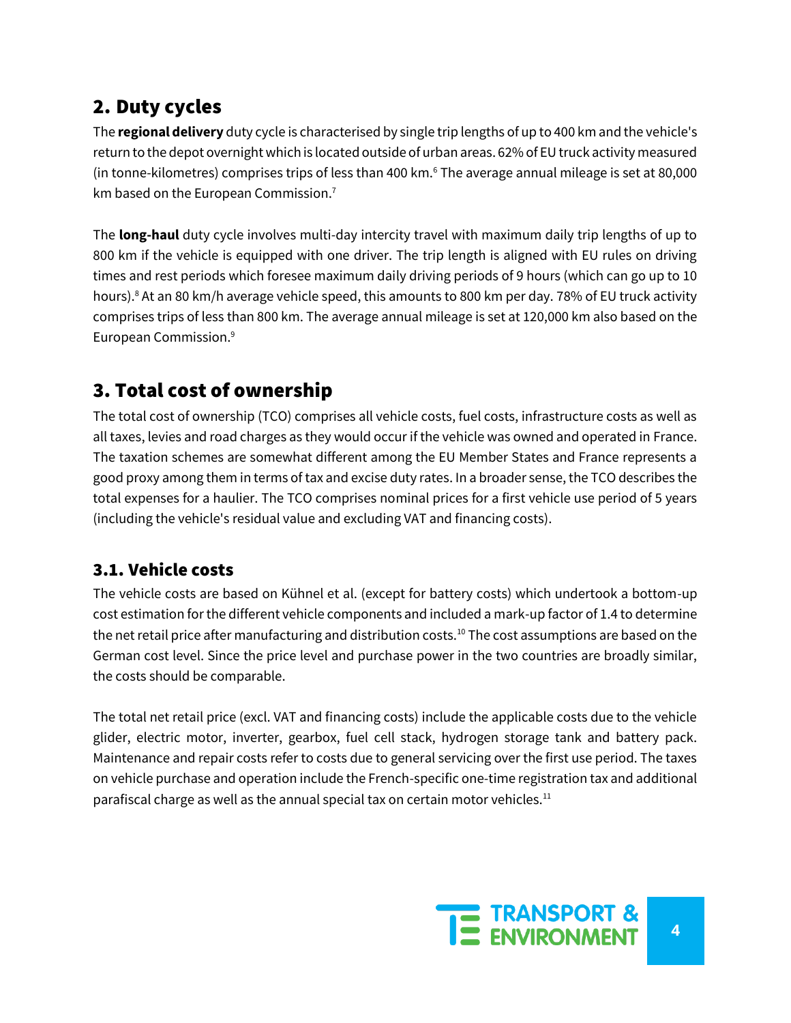# 2. Duty cycles

The **regional delivery** duty cycle is characterised by single trip lengths of up to 400 km and the vehicle's return to the depot overnight which is located outside of urban areas. 62% of EU truck activity measured (in tonne-kilometres) comprises trips of less than 400 km.<sup>6</sup> The average annual mileage is set at 80,000 km based on the European Commission.<sup>7</sup>

The **long-haul** duty cycle involves multi-day intercity travel with maximum daily trip lengths of up to 800 km if the vehicle is equipped with one driver. The trip length is aligned with EU rules on driving times and rest periods which foresee maximum daily driving periods of 9 hours (which can go up to 10 hours).<sup>8</sup> At an 80 km/h average vehicle speed, this amounts to 800 km per day. 78% of EU truck activity comprises trips of less than 800 km. The average annual mileage is set at 120,000 km also based on the European Commission.<sup>9</sup>

# 3. Total cost of ownership

The total cost of ownership (TCO) comprises all vehicle costs, fuel costs, infrastructure costs as well as all taxes, levies and road charges as they would occur if the vehicle was owned and operated in France. The taxation schemes are somewhat different among the EU Member States and France represents a good proxy among them in terms of tax and excise duty rates. In a broader sense, the TCO describes the total expenses for a haulier. The TCO comprises nominal prices for a first vehicle use period of 5 years (including the vehicle's residual value and excluding VAT and financing costs).

#### 3.1. Vehicle costs

The vehicle costs are based on Kühnel et al. (except for battery costs) which undertook a bottom-up cost estimation for the different vehicle components and included a mark-up factor of 1.4 to determine the net retail price after manufacturing and distribution costs.<sup>10</sup> The cost assumptions are based on the German cost level. Since the price level and purchase power in the two countries are broadly similar, the costs should be comparable.

The total net retail price (excl. VAT and financing costs) include the applicable costs due to the vehicle glider, electric motor, inverter, gearbox, fuel cell stack, hydrogen storage tank and battery pack. Maintenance and repair costs refer to costs due to general servicing over the first use period. The taxes on vehicle purchase and operation include the French-specific one-time registration tax and additional parafiscal charge as well as the annual special tax on certain motor vehicles. $11$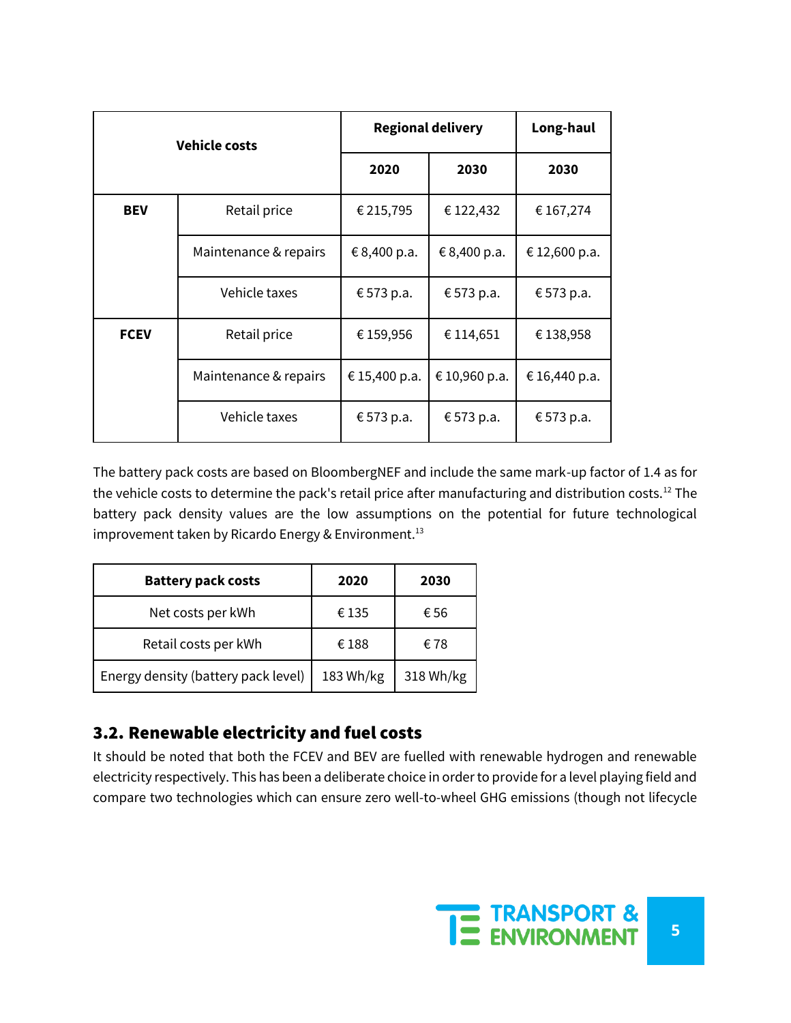| <b>Vehicle costs</b> |                       | <b>Regional delivery</b> | Long-haul     |               |
|----------------------|-----------------------|--------------------------|---------------|---------------|
|                      |                       | 2020                     | 2030          | 2030          |
| <b>BEV</b>           | Retail price          | € 215,795                | € 122,432     | € 167,274     |
|                      | Maintenance & repairs | € 8,400 p.a.             | € 8,400 p.a.  | € 12,600 p.a. |
|                      | Vehicle taxes         | € 573 p.a.               | € 573 p.a.    | € 573 p.a.    |
| <b>FCEV</b>          | Retail price          |                          | € 114,651     | €138,958      |
|                      | Maintenance & repairs | €15,400 p.a.             | € 10,960 p.a. | €16,440 p.a.  |
|                      | Vehicle taxes         | € 573 p.a.               | € 573 p.a.    | € 573 p.a.    |

The battery pack costs are based on BloombergNEF and include the same mark-up factor of 1.4 as for the vehicle costs to determine the pack's retail price after manufacturing and distribution costs.<sup>12</sup> The battery pack density values are the low assumptions on the potential for future technological improvement taken by Ricardo Energy & Environment.<sup>13</sup>

| <b>Battery pack costs</b>           | 2020      | 2030      |
|-------------------------------------|-----------|-----------|
| Net costs per kWh                   | €135      | €56       |
| Retail costs per kWh                | €188      | €78       |
| Energy density (battery pack level) | 183 Wh/kg | 318 Wh/kg |

#### 3.2. Renewable electricity and fuel costs

It should be noted that both the FCEV and BEV are fuelled with renewable hydrogen and renewable electricity respectively. This has been a deliberate choice in order to provide for a level playing field and compare two technologies which can ensure zero well-to-wheel GHG emissions (though not lifecycle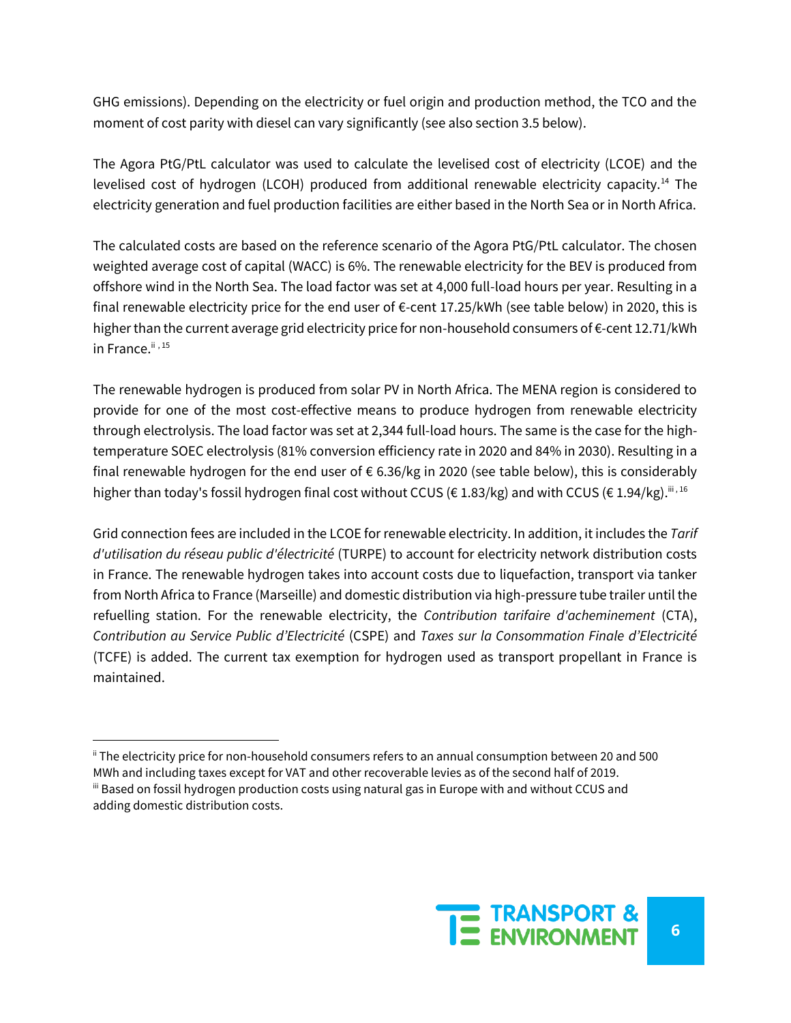GHG emissions). Depending on the electricity or fuel origin and production method, the TCO and the moment of cost parity with diesel can vary significantly (see also section 3.5 below).

The Agora PtG/PtL calculator was used to calculate the levelised cost of electricity (LCOE) and the levelised cost of hydrogen (LCOH) produced from additional renewable electricity capacity.<sup>14</sup> The electricity generation and fuel production facilities are either based in the North Sea or in North Africa.

The calculated costs are based on the reference scenario of the Agora PtG/PtL calculator. The chosen weighted average cost of capital (WACC) is 6%. The renewable electricity for the BEV is produced from offshore wind in the North Sea. The load factor was set at 4,000 full-load hours per year. Resulting in a final renewable electricity price for the end user of  $\epsilon$ -cent 17.25/kWh (see table below) in 2020, this is higher than the current average grid electricity price for non-household consumers of €-cent 12.71/kWh in France. $i$ <sup>ii</sup>,  $15$ 

The renewable hydrogen is produced from solar PV in North Africa. The MENA region is considered to provide for one of the most cost-effective means to produce hydrogen from renewable electricity through electrolysis. The load factor was set at 2,344 full-load hours. The same is the case for the hightemperature SOEC electrolysis (81% conversion efficiency rate in 2020 and 84% in 2030). Resulting in a final renewable hydrogen for the end user of  $\epsilon$  6.36/kg in 2020 (see table below), this is considerably higher than today's fossil hydrogen final cost without CCUS ( $\epsilon$  1.83/kg) and with CCUS ( $\epsilon$  1.94/kg).<sup>iii, 16</sup>

Grid connection fees are included in the LCOE for renewable electricity. In addition, it includes the *Tarif d'utilisation du réseau public d'électricité* (TURPE) to account for electricity network distribution costs in France. The renewable hydrogen takes into account costs due to liquefaction, transport via tanker from North Africa to France (Marseille) and domestic distribution via high-pressure tube trailer until the refuelling station. For the renewable electricity, the *Contribution tarifaire d'acheminement* (CTA), *Contribution au Service Public d'Electricité* (CSPE) and *Taxes sur la Consommation Finale d'Electricité* (TCFE) is added. The current tax exemption for hydrogen used as transport propellant in France is maintained.

ii The electricity price for non-household consumers refers to an annual consumption between 20 and 500 MWh and including taxes except for VAT and other recoverable levies as of the second half of 2019. iii Based on fossil hydrogen production costs using natural gas in Europe with and without CCUS and

adding domestic distribution costs.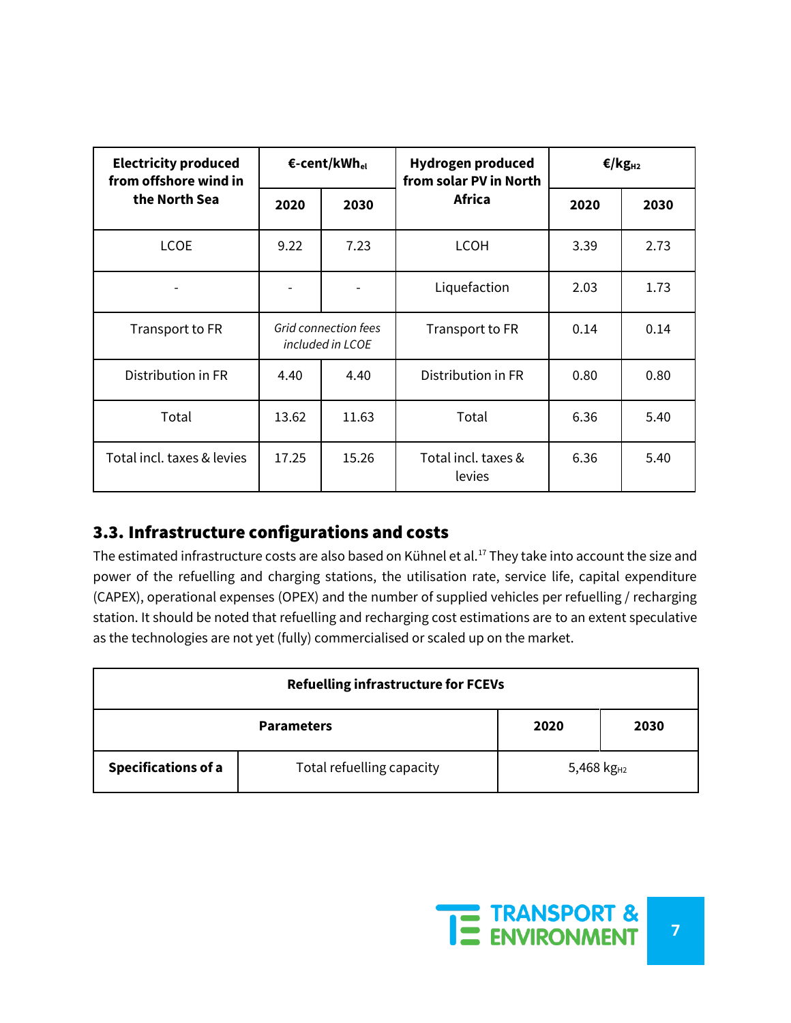| <b>Electricity produced</b><br>from offshore wind in | €-cent/kWh <sub>el</sub>                        |              | <b>Hydrogen produced</b><br>from solar PV in North | €/kg <sub>H2</sub> |      |
|------------------------------------------------------|-------------------------------------------------|--------------|----------------------------------------------------|--------------------|------|
| the North Sea                                        | 2020                                            | 2030         | Africa                                             | 2020               | 2030 |
| <b>LCOE</b>                                          | 9.22                                            | 7.23<br>LCOH |                                                    | 3.39               | 2.73 |
|                                                      |                                                 |              | Liquefaction                                       | 2.03               | 1.73 |
| Transport to FR                                      | <b>Grid connection fees</b><br>included in LCOE |              | Transport to FR                                    | 0.14               | 0.14 |
| Distribution in FR                                   | 4.40                                            | 4.40         | Distribution in FR                                 | 0.80               | 0.80 |
| Total                                                | 13.62                                           | 11.63        | Total                                              | 6.36               | 5.40 |
| Total incl. taxes & levies                           | 17.25                                           | 15.26        | Total incl. taxes &<br>levies                      | 6.36               | 5.40 |

#### 3.3. Infrastructure configurations and costs

The estimated infrastructure costs are also based on Kühnel et al.<sup>17</sup> They take into account the size and power of the refuelling and charging stations, the utilisation rate, service life, capital expenditure (CAPEX), operational expenses (OPEX) and the number of supplied vehicles per refuelling / recharging station. It should be noted that refuelling and recharging cost estimations are to an extent speculative as the technologies are not yet (fully) commercialised or scaled up on the market.

| <b>Refuelling infrastructure for FCEVs</b> |                                   |  |  |  |  |  |
|--------------------------------------------|-----------------------------------|--|--|--|--|--|
|                                            | <b>Parameters</b><br>2030<br>2020 |  |  |  |  |  |
| <b>Specifications of a</b>                 | 5,468 $kg_{H2}$                   |  |  |  |  |  |

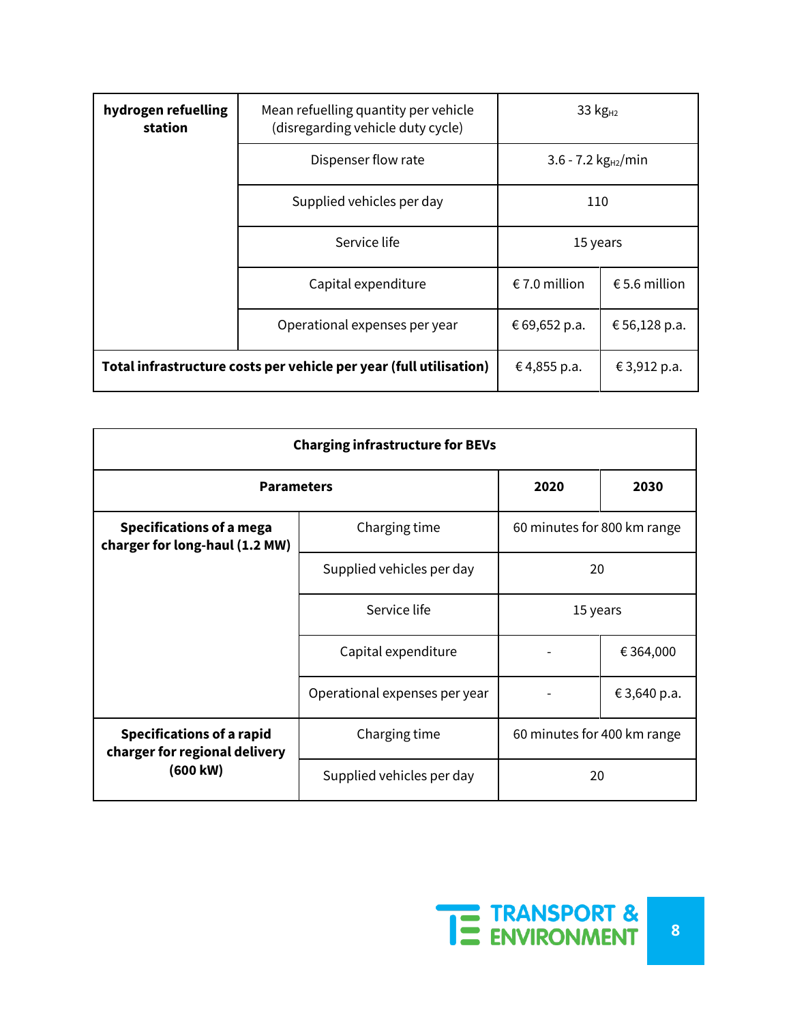| hydrogen refuelling<br>station                                     | Mean refuelling quantity per vehicle<br>(disregarding vehicle duty cycle) | 33 $kgH2$                      |  |  |
|--------------------------------------------------------------------|---------------------------------------------------------------------------|--------------------------------|--|--|
|                                                                    | Dispenser flow rate                                                       | 3.6 - 7.2 $kg_{H2}/min$        |  |  |
|                                                                    | Supplied vehicles per day                                                 | 110                            |  |  |
|                                                                    | Service life                                                              | 15 years                       |  |  |
|                                                                    | Capital expenditure                                                       | € 7.0 million<br>€ 5.6 million |  |  |
|                                                                    | Operational expenses per year                                             | € 69,652 p.a.<br>€ 56,128 p.a. |  |  |
| Total infrastructure costs per vehicle per year (full utilisation) | €4,855 p.a.                                                               | € 3,912 p.a.                   |  |  |

| <b>Charging infrastructure for BEVs</b>                           |                                                      |                             |                             |  |  |  |
|-------------------------------------------------------------------|------------------------------------------------------|-----------------------------|-----------------------------|--|--|--|
| <b>Parameters</b>                                                 | 2020                                                 | 2030                        |                             |  |  |  |
| <b>Specifications of a mega</b><br>charger for long-haul (1.2 MW) | Charging time                                        |                             | 60 minutes for 800 km range |  |  |  |
|                                                                   | Supplied vehicles per day                            | 20                          |                             |  |  |  |
| Service life                                                      |                                                      | 15 years                    |                             |  |  |  |
|                                                                   | Capital expenditure<br>Operational expenses per year |                             | € 364,000                   |  |  |  |
|                                                                   |                                                      |                             | € 3,640 p.a.                |  |  |  |
| <b>Specifications of a rapid</b><br>charger for regional delivery | Charging time                                        | 60 minutes for 400 km range |                             |  |  |  |
| (600 kW)                                                          | Supplied vehicles per day                            | 20                          |                             |  |  |  |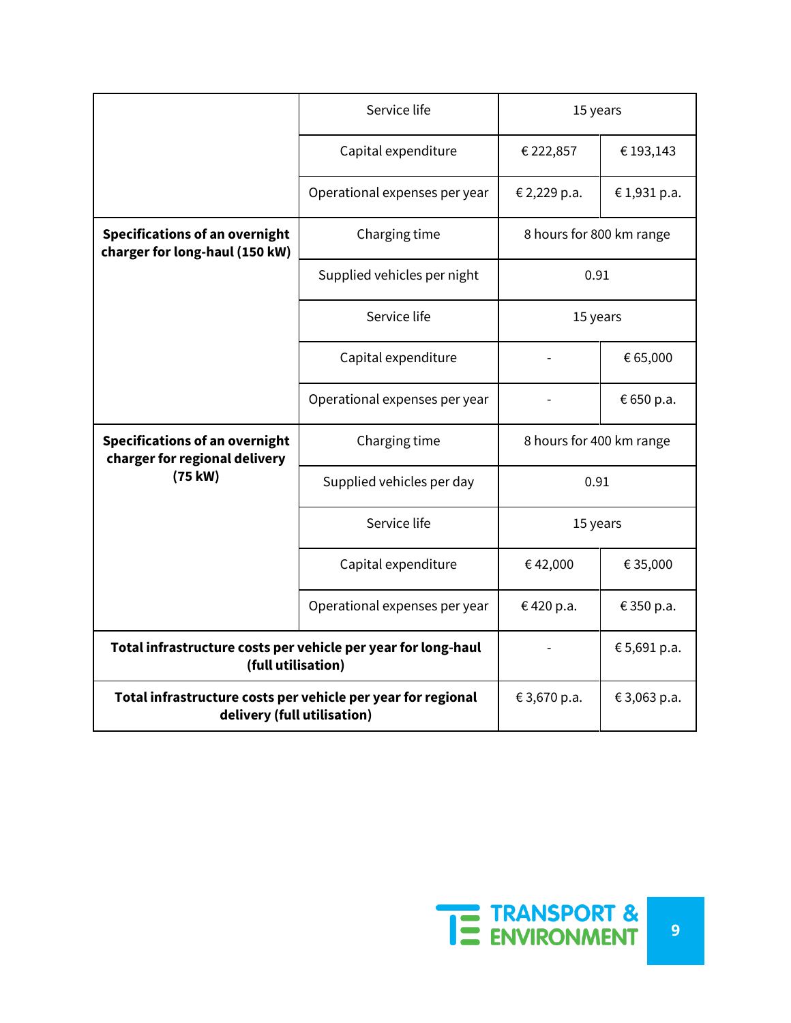|                                                                                             | Service life                  | 15 years                 |             |
|---------------------------------------------------------------------------------------------|-------------------------------|--------------------------|-------------|
| Capital expenditure                                                                         |                               | € 222,857                | € 193,143   |
|                                                                                             | Operational expenses per year | € 2,229 p.a.             | €1,931 p.a. |
| <b>Specifications of an overnight</b><br>charger for long-haul (150 kW)                     | Charging time                 | 8 hours for 800 km range |             |
|                                                                                             | Supplied vehicles per night   | 0.91                     |             |
|                                                                                             | Service life                  | 15 years                 |             |
|                                                                                             | Capital expenditure           |                          | € 65,000    |
|                                                                                             | Operational expenses per year |                          | € 650 p.a.  |
| <b>Specifications of an overnight</b><br>charger for regional delivery                      | Charging time                 | 8 hours for 400 km range |             |
| (75 kW)                                                                                     | Supplied vehicles per day     | 0.91                     |             |
|                                                                                             | Service life                  | 15 years                 |             |
|                                                                                             | Capital expenditure           | €42,000                  | € 35,000    |
|                                                                                             | Operational expenses per year | €420 p.a.<br>€ 350 p.a.  |             |
| Total infrastructure costs per vehicle per year for long-haul<br>(full utilisation)         |                               | € 5,691 p.a.             |             |
| Total infrastructure costs per vehicle per year for regional<br>delivery (full utilisation) | € 3,670 p.a.                  | € 3,063 p.a.             |             |

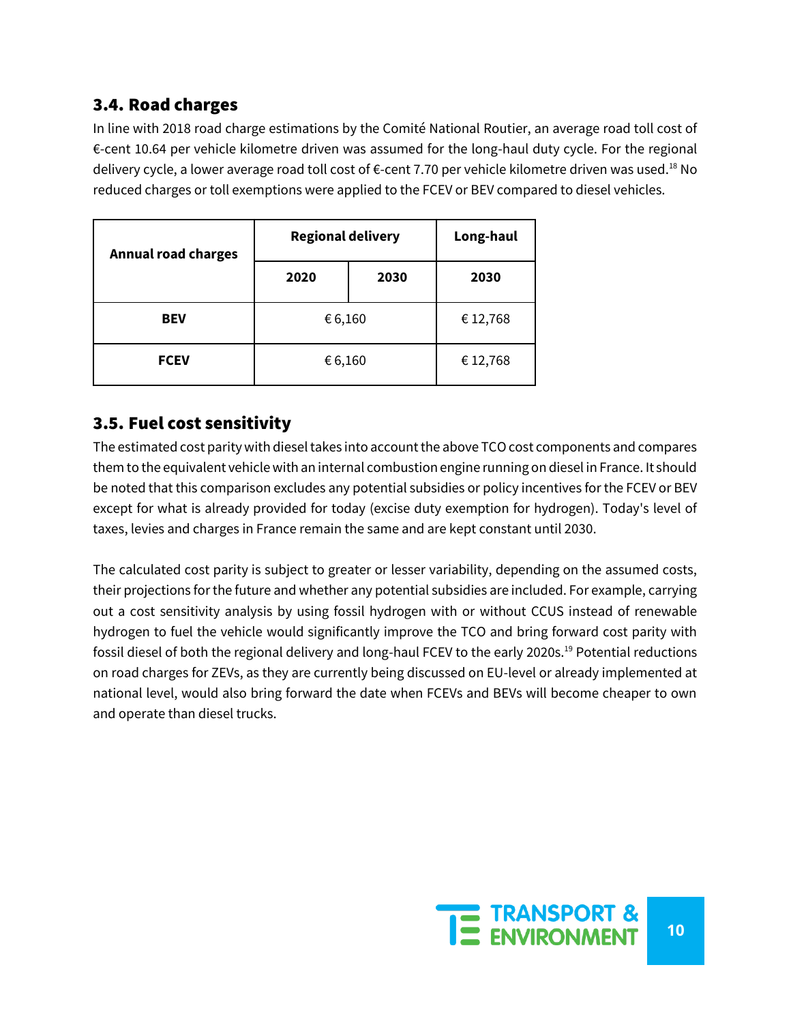#### 3.4. Road charges

In line with 2018 road charge estimations by the Comité National Routier, an average road toll cost of €-cent 10.64 per vehicle kilometre driven was assumed for the long-haul duty cycle. For the regional delivery cycle, a lower average road toll cost of €-cent 7.70 per vehicle kilometre driven was used.<sup>18</sup> No reduced charges or toll exemptions were applied to the FCEV or BEV compared to diesel vehicles.

| <b>Annual road charges</b> | <b>Regional delivery</b> | Long-haul |          |
|----------------------------|--------------------------|-----------|----------|
|                            | 2020                     | 2030      | 2030     |
| <b>BEV</b>                 | € 6,160                  |           | € 12,768 |
| <b>FCEV</b>                | € 6,160                  |           | € 12,768 |

#### 3.5. Fuel cost sensitivity

The estimated cost parity with diesel takes into account the above TCO cost components and compares them to the equivalent vehicle with an internal combustion engine running on diesel in France. It should be noted that this comparison excludes any potential subsidies or policy incentives for the FCEV or BEV except for what is already provided for today (excise duty exemption for hydrogen). Today's level of taxes, levies and charges in France remain the same and are kept constant until 2030.

The calculated cost parity is subject to greater or lesser variability, depending on the assumed costs, their projections for the future and whether any potential subsidies are included. For example, carrying out a cost sensitivity analysis by using fossil hydrogen with or without CCUS instead of renewable hydrogen to fuel the vehicle would significantly improve the TCO and bring forward cost parity with fossil diesel of both the regional delivery and long-haul FCEV to the early 2020s.<sup>19</sup> Potential reductions on road charges for ZEVs, as they are currently being discussed on EU-level or already implemented at national level, would also bring forward the date when FCEVs and BEVs will become cheaper to own and operate than diesel trucks.

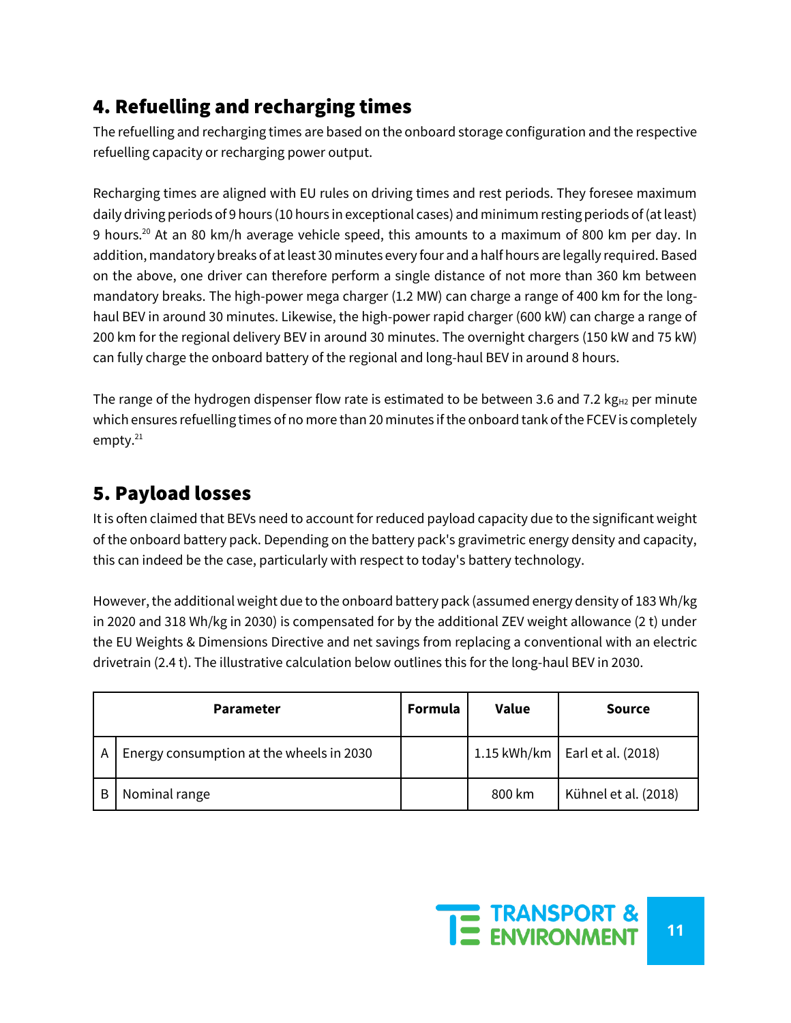# 4. Refuelling and recharging times

The refuelling and recharging times are based on the onboard storage configuration and the respective refuelling capacity or recharging power output.

Recharging times are aligned with EU rules on driving times and rest periods. They foresee maximum daily driving periods of 9 hours (10 hours in exceptional cases) and minimum resting periods of (at least) 9 hours.<sup>20</sup> At an 80 km/h average vehicle speed, this amounts to a maximum of 800 km per day. In addition, mandatory breaks of at least 30 minutes every four and a half hours are legally required. Based on the above, one driver can therefore perform a single distance of not more than 360 km between mandatory breaks. The high-power mega charger (1.2 MW) can charge a range of 400 km for the longhaul BEV in around 30 minutes. Likewise, the high-power rapid charger (600 kW) can charge a range of 200 km for the regional delivery BEV in around 30 minutes. The overnight chargers (150 kW and 75 kW) can fully charge the onboard battery of the regional and long-haul BEV in around 8 hours.

The range of the hydrogen dispenser flow rate is estimated to be between 3.6 and 7.2 kg $_{H2}$  per minute which ensures refuelling times of no more than 20 minutes if the onboard tank of the FCEV is completely empty.<sup>21</sup>

# 5. Payload losses

It is often claimed that BEVs need to account for reduced payload capacity due to the significant weight of the onboard battery pack. Depending on the battery pack's gravimetric energy density and capacity, this can indeed be the case, particularly with respect to today's battery technology.

However, the additional weight due to the onboard battery pack (assumed energy density of 183 Wh/kg in 2020 and 318 Wh/kg in 2030) is compensated for by the additional ZEV weight allowance (2 t) under the EU Weights & Dimensions Directive and net savings from replacing a conventional with an electric drivetrain (2.4 t). The illustrative calculation below outlines this for the long-haul BEV in 2030.

| <b>Parameter</b> |                                          | Formula | <b>Value</b> | <b>Source</b>                      |
|------------------|------------------------------------------|---------|--------------|------------------------------------|
| A                | Energy consumption at the wheels in 2030 |         |              | 1.15 kWh/km   Earl et al. $(2018)$ |
| В                | Nominal range                            |         | 800 km       | Kühnel et al. (2018)               |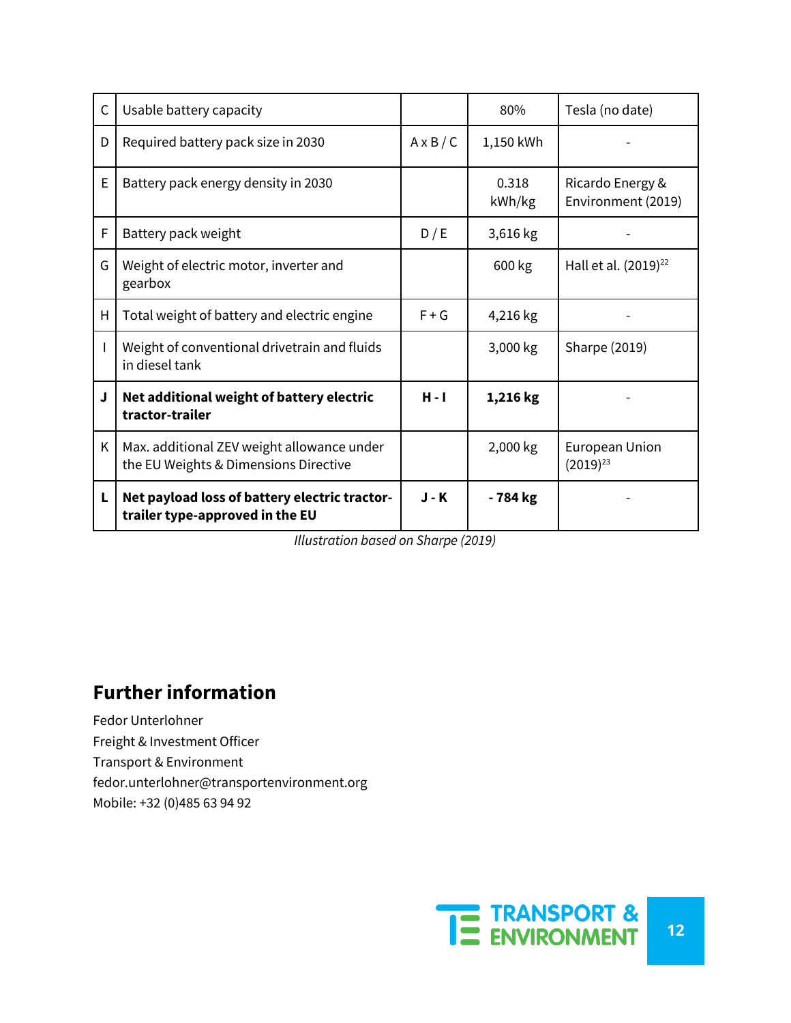| C | Usable battery capacity                                                             |                  | 80%             | Tesla (no date)                        |
|---|-------------------------------------------------------------------------------------|------------------|-----------------|----------------------------------------|
| D | Required battery pack size in 2030                                                  | $A \times B / C$ | 1,150 kWh       |                                        |
| E | Battery pack energy density in 2030                                                 |                  | 0.318<br>kWh/kg | Ricardo Energy &<br>Environment (2019) |
| F | Battery pack weight                                                                 | D/E              | 3,616 kg        |                                        |
| G | Weight of electric motor, inverter and<br>gearbox                                   |                  | 600 kg          | Hall et al. (2019) <sup>22</sup>       |
| H | Total weight of battery and electric engine                                         | $F + G$          | 4,216 kg        |                                        |
|   | Weight of conventional drivetrain and fluids<br>in diesel tank                      |                  | 3,000 kg        | Sharpe (2019)                          |
| J | Net additional weight of battery electric<br>tractor-trailer                        | $H - I$          | 1,216 kg        |                                        |
| Κ | Max. additional ZEV weight allowance under<br>the EU Weights & Dimensions Directive |                  | 2,000 kg        | European Union<br>$(2019)^{23}$        |
| L | Net payload loss of battery electric tractor-<br>trailer type-approved in the EU    | $J - K$          | - 784 kg        |                                        |

*Illustration based on Sharpe (2019)*

# **Further information**

Fedor Unterlohner Freight & Investment Officer Transport & Environment fedor.unterlohner@transportenvironment.org Mobile: +32 (0)485 63 94 92

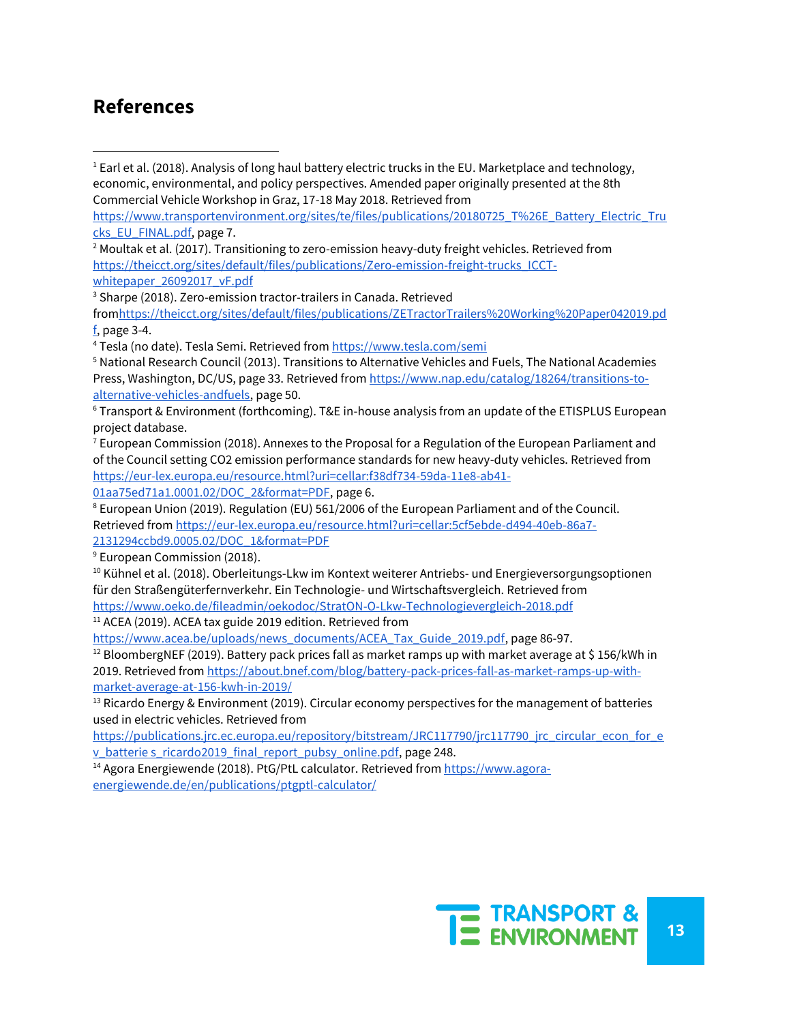#### **References**

<sup>1</sup> Earl et al. (2018). Analysis of long haul battery electric trucks in the EU. Marketplace and technology, economic, environmental, and policy perspectives. Amended paper originally presented at the 8th Commercial Vehicle Workshop in Graz, 17-18 May 2018. Retrieved from

[https://www.transportenvironment.org/sites/te/files/publications/20180725\\_T%26E\\_Battery\\_Electric\\_Tru](https://www.transportenvironment.org/sites/te/files/publications/20180725_T%26E_Battery_Electric_Trucks_EU_FINAL.pdf) [cks\\_EU\\_FINAL.pdf,](https://www.transportenvironment.org/sites/te/files/publications/20180725_T%26E_Battery_Electric_Trucks_EU_FINAL.pdf) page 7.

 $2$  Moultak et al. (2017). Transitioning to zero-emission heavy-duty freight vehicles. Retrieved from [https://theicct.org/sites/default/files/publications/Zero-emission-freight-trucks\\_ICCT](https://theicct.org/sites/default/files/publications/Zero-emission-freight-trucks_ICCT-whitepaper_26092017_vF.pdf)[whitepaper\\_26092017\\_vF.pdf](https://theicct.org/sites/default/files/publications/Zero-emission-freight-trucks_ICCT-whitepaper_26092017_vF.pdf)

<sup>3</sup> Sharpe (2018). Zero-emission tractor-trailers in Canada. Retrieved

fro[mhttps://theicct.org/sites/default/files/publications/ZETractorTrailers%20Working%20Paper042019.pd](https://theicct.org/sites/default/files/publications/ZETractorTrailers%20Working%20Paper042019.pdf) [f,](https://theicct.org/sites/default/files/publications/ZETractorTrailers%20Working%20Paper042019.pdf) page 3-4.

<sup>4</sup> Tesla (no date). Tesla Semi. Retrieved from<https://www.tesla.com/semi>

<sup>5</sup> National Research Council (2013). Transitions to Alternative Vehicles and Fuels, The National Academies Press, Washington, DC/US, page 33. Retrieved from [https://www.nap.edu/catalog/18264/transitions-to](https://www.nap.edu/catalog/18264/transitions-to-alternative-vehicles-andfuels)[alternative-vehicles-andfuels,](https://www.nap.edu/catalog/18264/transitions-to-alternative-vehicles-andfuels) page 50.

<sup>6</sup> Transport & Environment (forthcoming). T&E in-house analysis from an update of the ETISPLUS European project database.

 $^7$  European Commission (2018). Annexes to the Proposal for a Regulation of the European Parliament and of the Council setting CO2 emission performance standards for new heavy-duty vehicles. Retrieved from [https://eur-lex.europa.eu/resource.html?uri=cellar:f38df734-59da-11e8-ab41-](https://eur-lex.europa.eu/resource.html?uri=cellar:f38df734-59da-11e8-ab41-01aa75ed71a1.0001.02/DOC_2&format=PDF)

[01aa75ed71a1.0001.02/DOC\\_2&format=PDF,](https://eur-lex.europa.eu/resource.html?uri=cellar:f38df734-59da-11e8-ab41-01aa75ed71a1.0001.02/DOC_2&format=PDF) page 6.

<sup>8</sup> European Union (2019). Regulation (EU) 561/2006 of the European Parliament and of the Council. Retrieved fro[m https://eur-lex.europa.eu/resource.html?uri=cellar:5cf5ebde-d494-40eb-86a7-](https://eur-lex.europa.eu/resource.html?uri=cellar:5cf5ebde-d494-40eb-86a7-2131294ccbd9.0005.02/DOC_1&format=PDF) [2131294ccbd9.0005.02/DOC\\_1&format=PDF](https://eur-lex.europa.eu/resource.html?uri=cellar:5cf5ebde-d494-40eb-86a7-2131294ccbd9.0005.02/DOC_1&format=PDF)

<sup>9</sup> European Commission (2018).

<sup>10</sup> Kühnel et al. (2018). Oberleitungs-Lkw im Kontext weiterer Antriebs- und Energieversorgungsoptionen für den Straßengüterfernverkehr. Ein Technologie- und Wirtschaftsvergleich. Retrieved from <https://www.oeko.de/fileadmin/oekodoc/StratON-O-Lkw-Technologievergleich-2018.pdf>

<sup>11</sup> ACEA (2019). ACEA tax guide 2019 edition. Retrieved from

[https://www.acea.be/uploads/news\\_documents/ACEA\\_Tax\\_Guide\\_2019.pdf,](https://www.acea.be/uploads/news_documents/ACEA_Tax_Guide_2019.pdf) page 86-97.

 $12$  BloombergNEF (2019). Battery pack prices fall as market ramps up with market average at \$156/kWh in 2019. Retrieved fro[m https://about.bnef.com/blog/battery-pack-prices-fall-as-market-ramps-up-with](https://about.bnef.com/blog/battery-pack-prices-fall-as-market-ramps-up-with-market-average-at-156-kwh-in-2019/)[market-average-at-156-kwh-in-2019/](https://about.bnef.com/blog/battery-pack-prices-fall-as-market-ramps-up-with-market-average-at-156-kwh-in-2019/)

<sup>13</sup> Ricardo Energy & Environment (2019). Circular economy perspectives for the management of batteries used in electric vehicles. Retrieved from

[https://publications.jrc.ec.europa.eu/repository/bitstream/JRC117790/jrc117790\\_jrc\\_circular\\_econ\\_for\\_e](https://publications.jrc.ec.europa.eu/repository/bitstream/JRC117790/jrc117790_jrc_circular_econ_for_ev_batterie) [v\\_batterie s\\_ricardo2019\\_final\\_report\\_pubsy\\_online.pdf,](https://publications.jrc.ec.europa.eu/repository/bitstream/JRC117790/jrc117790_jrc_circular_econ_for_ev_batterie) page 248.

<sup>14</sup> Agora Energiewende (2018). PtG/PtL calculator. Retrieved from [https://www.agora](https://www.agora-energiewende.de/en/publications/ptgptl-calculator/)[energiewende.de/en/publications/ptgptl-calculator/](https://www.agora-energiewende.de/en/publications/ptgptl-calculator/)